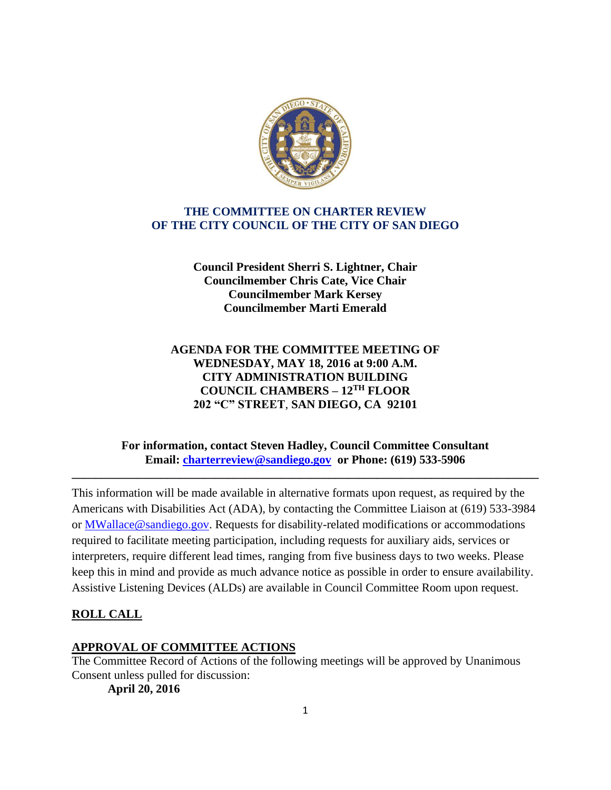

# **THE COMMITTEE ON CHARTER REVIEW OF THE CITY COUNCIL OF THE CITY OF SAN DIEGO**

**Council President Sherri S. Lightner, Chair Councilmember Chris Cate, Vice Chair Councilmember Mark Kersey Councilmember Marti Emerald**

# **AGENDA FOR THE COMMITTEE MEETING OF WEDNESDAY, MAY 18, 2016 at 9:00 A.M. CITY ADMINISTRATION BUILDING COUNCIL CHAMBERS – 12TH FLOOR 202 "C" STREET**, **SAN DIEGO, CA 92101**

#### **For information, contact Steven Hadley, Council Committee Consultant Email: [charterreview@sandiego.gov](mailto:charterreview@sandiego.gov) or Phone: (619) 533-5906**

**\_\_\_\_\_\_\_\_\_\_\_\_\_\_\_\_\_\_\_\_\_\_\_\_\_\_\_\_\_\_\_\_\_\_\_\_\_\_\_\_\_\_\_\_\_\_\_\_\_\_\_\_\_\_\_\_\_\_\_\_\_\_\_\_\_\_\_\_\_\_\_\_\_\_\_\_\_\_**

This information will be made available in alternative formats upon request, as required by the Americans with Disabilities Act (ADA), by contacting the Committee Liaison at (619) 533-3984 or MWallace@sandiego.gov. Requests for disability-related modifications or accommodations required to facilitate meeting participation, including requests for auxiliary aids, services or interpreters, require different lead times, ranging from five business days to two weeks. Please keep this in mind and provide as much advance notice as possible in order to ensure availability. Assistive Listening Devices (ALDs) are available in Council Committee Room upon request.

## **ROLL CALL**

## **APPROVAL OF COMMITTEE ACTIONS**

The Committee Record of Actions of the following meetings will be approved by Unanimous Consent unless pulled for discussion:

**April 20, 2016**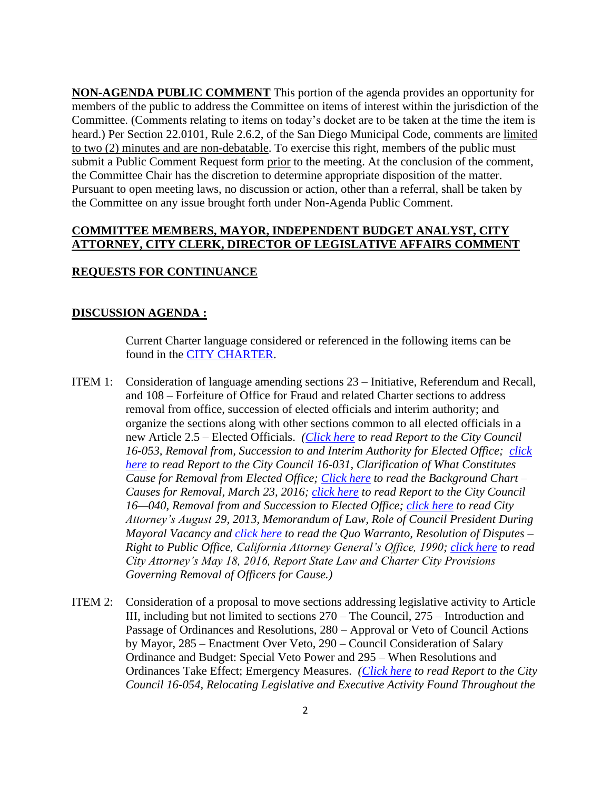**NON-AGENDA PUBLIC COMMENT** This portion of the agenda provides an opportunity for members of the public to address the Committee on items of interest within the jurisdiction of the Committee. (Comments relating to items on today's docket are to be taken at the time the item is heard.) Per Section 22.0101, Rule 2.6.2, of the San Diego Municipal Code, comments are limited to two (2) minutes and are non-debatable. To exercise this right, members of the public must submit a Public Comment Request form prior to the meeting. At the conclusion of the comment, the Committee Chair has the discretion to determine appropriate disposition of the matter. Pursuant to open meeting laws, no discussion or action, other than a referral, shall be taken by the Committee on any issue brought forth under Non-Agenda Public Comment.

#### **COMMITTEE MEMBERS, MAYOR, INDEPENDENT BUDGET ANALYST, CITY ATTORNEY, CITY CLERK, DIRECTOR OF LEGISLATIVE AFFAIRS COMMENT**

#### **REQUESTS FOR CONTINUANCE**

#### **DISCUSSION AGENDA :**

Current Charter language considered or referenced in the following items can be found in the **CITY CHARTER**.

- ITEM 1: Consideration of language amending sections 23 Initiative, Referendum and Recall, and 108 – Forfeiture of Office for Fraud and related Charter sections to address removal from office, succession of elected officials and interim authority; and organize the sections along with other sections common to all elected officials in a new Article 2.5 – Elected Officials. *[\(Click here](http://docs.sandiego.gov/councilcomm_agendas_attach/2016/cr_160518_1.pdf) to read Report to the City Council 16-053, Removal from, Succession to and Interim Authority for Elected Office; [click](http://docs.sandiego.gov/councilcomm_agendas_attach/2016/cr_160518_1a.pdf)  [here](http://docs.sandiego.gov/councilcomm_agendas_attach/2016/cr_160518_1a.pdf) to read Report to the City Council 16-031, Clarification of What Constitutes Cause for Removal from Elected Office; [Click here](http://docs.sandiego.gov/councilcomm_agendas_attach/2016/cr_160518_1b.pdf) to read the Background Chart – Causes for Removal, March 23, 2016; [click here](http://docs.sandiego.gov/councilcomm_agendas_attach/2016/cr_160518_1c.pdf) to read Report to the City Council 16—040, Removal from and Succession to Elected Office; [click here](http://docs.sandiego.gov/councilcomm_agendas_attach/2016/cr_160518_1d.pdf) to read City Attorney's August 29, 2013, Memorandum of Law, Role of Council President During Mayoral Vacancy and [click here](http://docs.sandiego.gov/councilcomm_agendas_attach/2016/cr_160518_1e.pdf) to read the Quo Warranto, Resolution of Disputes – Right to Public Office, California Attorney General's Office, 1990; [click here](http://docs.sandiego.gov/councilcomm_agendas_attach/2016/cr_160518_1f.pdf) to read City Attorney's May 18, 2016, Report State Law and Charter City Provisions Governing Removal of Officers for Cause.)*
- ITEM 2: Consideration of a proposal to move sections addressing legislative activity to Article III, including but not limited to sections 270 – The Council, 275 – Introduction and Passage of Ordinances and Resolutions, 280 – Approval or Veto of Council Actions by Mayor, 285 – Enactment Over Veto, 290 – Council Consideration of Salary Ordinance and Budget: Special Veto Power and 295 – When Resolutions and Ordinances Take Effect; Emergency Measures. *[\(Click here](http://docs.sandiego.gov/councilcomm_agendas_attach/2016/cr_160518_3.pdf) to read Report to the City Council 16-054, Relocating Legislative and Executive Activity Found Throughout the*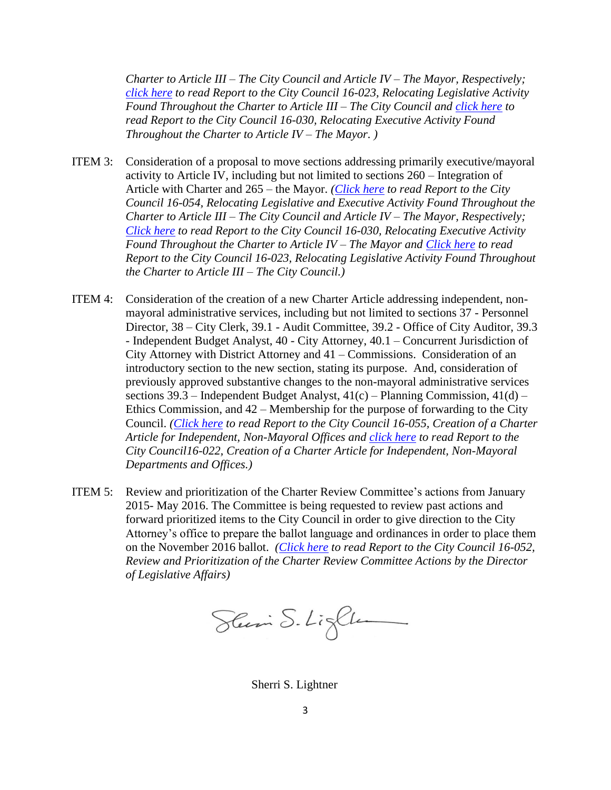*Charter to Article III – The City Council and Article IV – The Mayor, Respectively; [click here](http://docs.sandiego.gov/councilcomm_agendas_attach/2016/cr_160518_3a.pdf) to read Report to the City Council 16-023, Relocating Legislative Activity Found Throughout the Charter to Article III – The City Council and [click here](http://docs.sandiego.gov/councilcomm_agendas_attach/2016/cr_160518_3b.pdf) to read Report to the City Council 16-030, Relocating Executive Activity Found Throughout the Charter to Article IV – The Mayor. )*

- ITEM 3: Consideration of a proposal to move sections addressing primarily executive/mayoral activity to Article IV, including but not limited to sections 260 – Integration of Article with Charter and 265 – the Mayor. *[\(Click here](http://docs.sandiego.gov/councilcomm_agendas_attach/2016/cr_160518_3.pdf) to read Report to the City Council 16-054, Relocating Legislative and Executive Activity Found Throughout the Charter to Article III – The City Council and Article IV – The Mayor, Respectively; [Click here](http://docs.sandiego.gov/councilcomm_agendas_attach/2016/cr_160518_3b.pdf) to read Report to the City Council 16-030, Relocating Executive Activity Found Throughout the Charter to Article IV – The Mayor and [Click here](http://docs.sandiego.gov/councilcomm_agendas_attach/2016/cr_160518_3a.pdf) to read Report to the City Council 16-023, Relocating Legislative Activity Found Throughout the Charter to Article III – The City Council.)*
- ITEM 4: Consideration of the creation of a new Charter Article addressing independent, nonmayoral administrative services, including but not limited to sections 37 - Personnel Director, 38 – City Clerk, 39.1 - Audit Committee, 39.2 - Office of City Auditor, 39.3 - Independent Budget Analyst, 40 - City Attorney, 40.1 – Concurrent Jurisdiction of City Attorney with District Attorney and 41 – Commissions. Consideration of an introductory section to the new section, stating its purpose. And, consideration of previously approved substantive changes to the non-mayoral administrative services sections  $39.3$  – Independent Budget Analyst,  $41(c)$  – Planning Commission,  $41(d)$  – Ethics Commission, and 42 – Membership for the purpose of forwarding to the City Council. *[\(Click here](http://docs.sandiego.gov/councilcomm_agendas_attach/2016/cr_160518_4.pdf) to read Report to the City Council 16-055, Creation of a Charter Article for Independent, Non-Mayoral Offices and [click here](http://docs.sandiego.gov/councilcomm_agendas_attach/2016/cr_160518_4a.pdf) to read Report to the City Council16-022, Creation of a Charter Article for Independent, Non-Mayoral Departments and Offices.)*
- ITEM 5: Review and prioritization of the Charter Review Committee's actions from January 2015- May 2016. The Committee is being requested to review past actions and forward prioritized items to the City Council in order to give direction to the City Attorney's office to prepare the ballot language and ordinances in order to place them on the November 2016 ballot. *[\(Click here](http://docs.sandiego.gov/councilcomm_agendas_attach/2016/cr_160518_5.pdf) to read Report to the City Council 16-052, Review and Prioritization of the Charter Review Committee Actions by the Director of Legislative Affairs)*

Sluin S. Lighter

Sherri S. Lightner